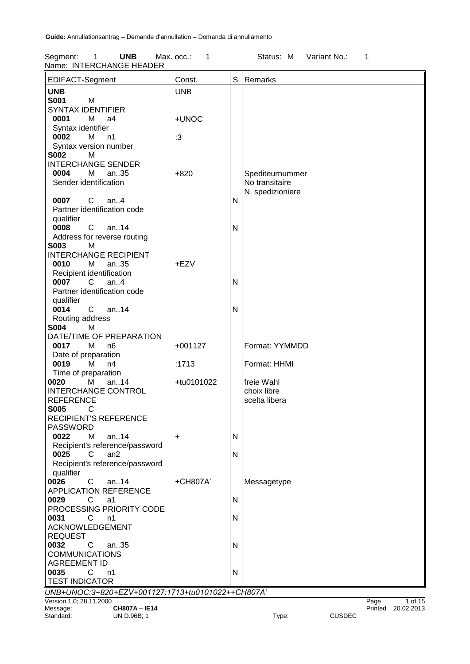Segment: 1 **UNB** Max. occ.: 1 Status: M Variant No.: 1 Name: INTERCHANGE HEADER

| EDIFACT-Segment                                   | Const.     | S            | Remarks            |
|---------------------------------------------------|------------|--------------|--------------------|
| <b>UNB</b>                                        | <b>UNB</b> |              |                    |
| <b>S001</b><br>M                                  |            |              |                    |
| <b>SYNTAX IDENTIFIER</b>                          |            |              |                    |
| M                                                 |            |              |                    |
| 0001<br>a4                                        | +UNOC      |              |                    |
| Syntax identifier                                 |            |              |                    |
| 0002<br>М<br>n1                                   | $\cdot 3$  |              |                    |
| Syntax version number                             |            |              |                    |
| <b>S002</b><br>M                                  |            |              |                    |
| <b>INTERCHANGE SENDER</b>                         |            |              |                    |
| 0004<br>M<br>an35                                 | $+820$     |              | Spediteurnummer    |
| Sender identification                             |            |              | No transitaire     |
|                                                   |            |              | N. spedizioniere   |
| $\mathsf{C}$<br>0007<br>an.4                      |            | N            |                    |
| Partner identification code                       |            |              |                    |
| qualifier                                         |            |              |                    |
| 0008<br>$\mathsf{C}$<br>an14                      |            | $\mathsf{N}$ |                    |
| Address for reverse routing                       |            |              |                    |
| <b>S003</b><br>м                                  |            |              |                    |
| <b>INTERCHANGE RECIPIENT</b>                      |            |              |                    |
| 0010<br>М<br>an35                                 | +EZV       |              |                    |
| Recipient identification                          |            |              |                    |
| 0007<br>$\mathsf{C}$<br>an.4                      |            | N            |                    |
| Partner identification code                       |            |              |                    |
|                                                   |            |              |                    |
| qualifier                                         |            |              |                    |
| $\mathbf{C}$<br>0014<br>an14                      |            | N            |                    |
| Routing address                                   |            |              |                    |
| <b>S004</b><br>м                                  |            |              |                    |
| DATE/TIME OF PREPARATION                          |            |              |                    |
| 0017<br>M<br>n <sub>6</sub>                       | $+001127$  |              | Format: YYMMDD     |
| Date of preparation                               |            |              |                    |
| M<br>0019<br>n4                                   | :1713      |              | Format: HHMI       |
| Time of preparation                               |            |              |                    |
| an14<br>0020<br>M                                 | +tu0101022 |              | freie Wahl         |
| <b>INTERCHANGE CONTROL</b>                        |            |              | choix libre        |
| <b>REFERENCE</b>                                  |            |              | scelta libera      |
| <b>S005</b><br>C                                  |            |              |                    |
| <b>RECIPIENT'S REFERENCE</b>                      |            |              |                    |
| <b>PASSWORD</b>                                   |            |              |                    |
| 0022<br>M<br>an14                                 | +          | $\mathsf{N}$ |                    |
| Recipient's reference/password                    |            |              |                    |
| 0025<br>C<br>an2                                  |            | N            |                    |
| Recipient's reference/password                    |            |              |                    |
| qualifier                                         |            |              |                    |
| 0026<br>$\mathsf{C}$<br>an14                      | +CH807A'   |              | Messagetype        |
| <b>APPLICATION REFERENCE</b>                      |            |              |                    |
| 0029<br>C<br>a1                                   |            | $\mathsf{N}$ |                    |
| PROCESSING PRIORITY CODE                          |            |              |                    |
| 0031<br>C<br>n1                                   |            | N            |                    |
| ACKNOWLEDGEMENT                                   |            |              |                    |
|                                                   |            |              |                    |
| <b>REQUEST</b>                                    |            |              |                    |
| 0032<br>C<br>an35                                 |            | N            |                    |
| <b>COMMUNICATIONS</b>                             |            |              |                    |
| <b>AGREEMENT ID</b>                               |            |              |                    |
| 0035<br>C<br>n1                                   |            | N            |                    |
| <b>TEST INDICATOR</b>                             |            |              |                    |
| UNB+UNOC:3+820+EZV+001127:1713+tu0101022++CH807A' |            |              |                    |
| Version 1.0; 28.11.2000                           |            |              | Page<br>1 of 15    |
| CH807A-IE14<br>Message:                           |            |              | Printed 20.02.2013 |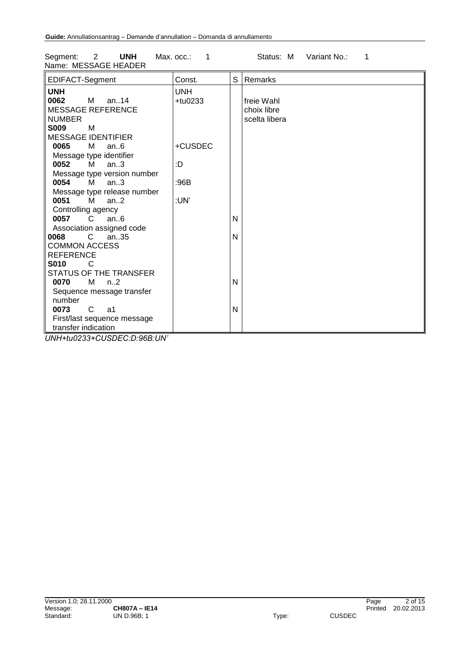| Name: MESSAGE HEADER                                                                                                                                                                                                                                                                                                                                                                                                                                                                                                                                                                                                                                                                                                                                                                                                                                                        |                                                           |                  |                                            |
|-----------------------------------------------------------------------------------------------------------------------------------------------------------------------------------------------------------------------------------------------------------------------------------------------------------------------------------------------------------------------------------------------------------------------------------------------------------------------------------------------------------------------------------------------------------------------------------------------------------------------------------------------------------------------------------------------------------------------------------------------------------------------------------------------------------------------------------------------------------------------------|-----------------------------------------------------------|------------------|--------------------------------------------|
| EDIFACT-Segment                                                                                                                                                                                                                                                                                                                                                                                                                                                                                                                                                                                                                                                                                                                                                                                                                                                             | Const.                                                    | S                | Remarks                                    |
| <b>UNH</b><br>M<br>0062<br>an14<br><b>MESSAGE REFERENCE</b><br><b>NUMBER</b><br><b>S009</b><br>M<br><b>MESSAGE IDENTIFIER</b><br>0065<br>M<br>an.6<br>Message type identifier<br>0052<br>M<br>an.3<br>Message type version number<br>0054<br>M and the set of the set of the set of the set of the set of the set of the set of the set of the set of the set of the set of the set of the set of the set of the set of the set of the set of the set of the set of the set<br>an.3<br>Message type release number<br>0051<br>M<br>an.2<br>Controlling agency<br>0057 C<br>an.6<br>Association assigned code<br>0068<br>$\mathsf{C}$<br>an.35<br><b>COMMON ACCESS</b><br><b>REFERENCE</b><br><b>S010</b><br>C<br>STATUS OF THE TRANSFER<br>0070<br>M<br>n <sub>1</sub> 2<br>Sequence message transfer<br>number<br>$\mathbf C$<br>0073<br>a1<br>First/last sequence message | <b>UNH</b><br>$+$ tu0233<br>+CUSDEC<br>:D<br>:96B<br>:UN' | N<br>N<br>N<br>N | freie Wahl<br>choix libre<br>scelta libera |
| transfer indication                                                                                                                                                                                                                                                                                                                                                                                                                                                                                                                                                                                                                                                                                                                                                                                                                                                         |                                                           |                  |                                            |

Segment: 2 **UNH** Max. occ.: 1 Status: M Variant No.: 1

*UNH+tu0233+CUSDEC:D:96B:UN'*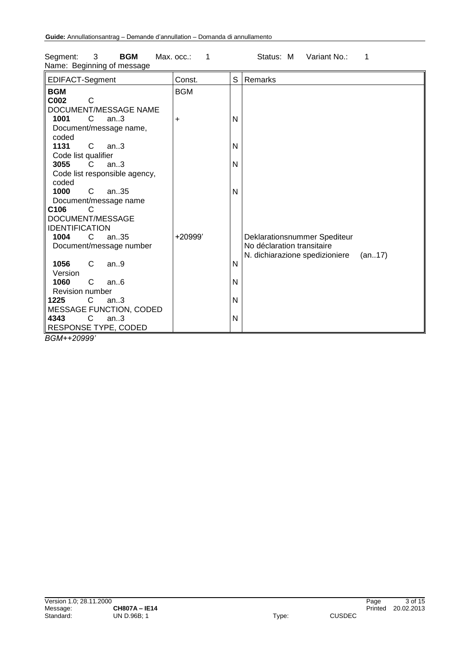| EDIFACT-Segment                | Const.     | S | Remarks                                  |
|--------------------------------|------------|---|------------------------------------------|
| <b>BGM</b>                     | <b>BGM</b> |   |                                          |
| C002<br>C                      |            |   |                                          |
| DOCUMENT/MESSAGE NAME          |            |   |                                          |
| 1001<br>C<br>an.3              | $\ddot{}$  | N |                                          |
| Document/message name,         |            |   |                                          |
| coded                          |            |   |                                          |
| 1131<br>C.<br>an.3             |            | N |                                          |
| Code list qualifier            |            |   |                                          |
| 3055<br>C<br>an.3              |            | N |                                          |
| Code list responsible agency,  |            |   |                                          |
| coded                          |            |   |                                          |
| 1000<br>$\mathsf{C}$<br>an.35  |            | N |                                          |
| Document/message name          |            |   |                                          |
| C <sub>106</sub><br>C          |            |   |                                          |
| DOCUMENT/MESSAGE               |            |   |                                          |
| <b>IDENTIFICATION</b>          |            |   |                                          |
| C<br>an35<br>1004              | +20999'    |   | Deklarationsnummer Spediteur             |
| Document/message number        |            |   | No déclaration transitaire               |
|                                |            |   | N. dichiarazione spedizioniere<br>(an17) |
| 1056<br>C<br>an.9              |            | N |                                          |
| Version                        |            |   |                                          |
| 1060<br>C.<br>an.6             |            | N |                                          |
| Revision number                |            |   |                                          |
| 1225<br>$\mathbf{C}$<br>an.3   |            | N |                                          |
| <b>MESSAGE FUNCTION, CODED</b> |            |   |                                          |
| 4343<br>C.<br>an.3             |            | N |                                          |
| RESPONSE TYPE, CODED           |            |   |                                          |
| BGM++20999'                    |            |   |                                          |

Segment: 3 **BGM** Max. occ.: 1 Status: M Variant No.: 1 Name: Beginning of message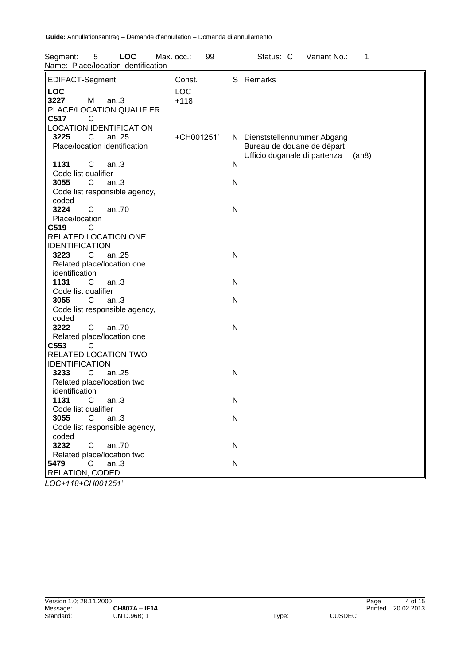| <b>LOC</b><br>5<br>Segment:<br>Name: Place/location identification                                                 | Max. occ.:<br>99     |                   | Variant No.:<br>Status: C<br>1                                                                        |
|--------------------------------------------------------------------------------------------------------------------|----------------------|-------------------|-------------------------------------------------------------------------------------------------------|
| EDIFACT-Segment                                                                                                    | Const.               | S                 | Remarks                                                                                               |
| <b>LOC</b><br>3227<br>M<br>an.3<br>PLACE/LOCATION QUALIFIER<br>C517<br>C<br><b>LOCATION IDENTIFICATION</b>         | <b>LOC</b><br>$+118$ |                   |                                                                                                       |
| 3225<br>C<br>an25<br>Place/location identification<br>1131<br>C<br>an.3                                            | +CH001251'           | $\mathsf{N}$      | N   Dienststellennummer Abgang<br>Bureau de douane de départ<br>Ufficio doganale di partenza<br>(an8) |
| Code list qualifier<br>3055<br>an.3<br>C<br>Code list responsible agency,<br>coded                                 |                      | N                 |                                                                                                       |
| 3224<br>an70<br>C<br>Place/location<br>C519<br>C<br>RELATED LOCATION ONE                                           |                      | N                 |                                                                                                       |
| <b>IDENTIFICATION</b><br>3223<br>$\mathsf{C}$<br>an25<br>Related place/location one<br>identification              |                      | $\mathsf{N}$      |                                                                                                       |
| 1131<br>C<br>an.3<br>Code list qualifier<br>3055<br>an.3<br>C<br>Code list responsible agency,                     |                      | N<br>N            |                                                                                                       |
| coded<br>$\mathsf{C}$<br>3222<br>an70<br>Related place/location one<br>C553<br>C                                   |                      | $\mathsf{N}$      |                                                                                                       |
| RELATED LOCATION TWO<br><b>IDENTIFICATION</b><br>3233<br>C<br>an25<br>Related place/location two<br>identification |                      | N                 |                                                                                                       |
| 1131<br>C<br>an.3<br>Code list qualifier                                                                           |                      | N<br>$\mathsf{N}$ |                                                                                                       |
| 3055<br>C<br>an.3<br>Code list responsible agency,<br>coded                                                        |                      |                   |                                                                                                       |
| 3232<br>$\mathsf{C}$<br>an70<br>Related place/location two<br>$\mathsf{C}$<br>5479<br>an.3<br>RELATION, CODED      |                      | N<br>$\mathsf{N}$ |                                                                                                       |

*LOC+118+CH001251'*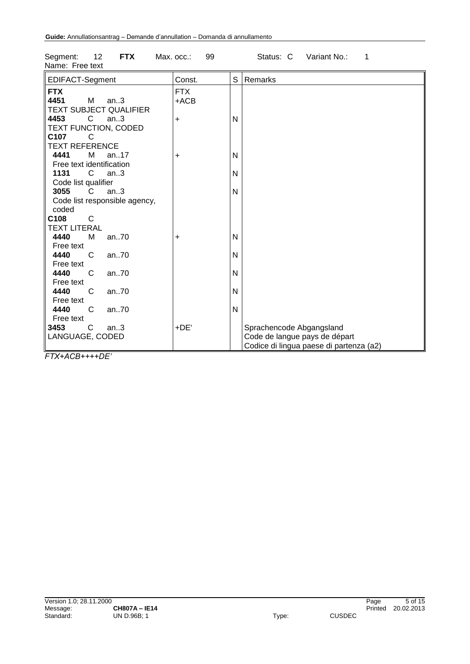| Name: Free text                                           |                      |   |                                                           |
|-----------------------------------------------------------|----------------------|---|-----------------------------------------------------------|
| EDIFACT-Segment                                           | Const.               | S | Remarks                                                   |
| <b>FTX</b><br>4451<br>м<br>an.3<br>TEXT SUBJECT QUALIFIER | <b>FTX</b><br>$+ACB$ |   |                                                           |
| 4453<br>C<br>an.3<br>TEXT FUNCTION, CODED                 | +                    | N |                                                           |
| C107<br>C<br><b>TEXT REFERENCE</b>                        |                      |   |                                                           |
| 4441<br>М<br>an. $.17$                                    | ÷                    | N |                                                           |
| Free text identification<br>1131<br>C<br>an.3             |                      | N |                                                           |
| Code list qualifier                                       |                      |   |                                                           |
| 3055<br>C<br>an.3                                         |                      | N |                                                           |
| Code list responsible agency,<br>coded                    |                      |   |                                                           |
| C <sub>108</sub><br>С                                     |                      |   |                                                           |
| <b>TEXT LITERAL</b><br>4440<br>M<br>an $70$               | $\ddot{}$            | N |                                                           |
| Free text                                                 |                      |   |                                                           |
| 4440<br>C<br>an70                                         |                      | N |                                                           |
| Free text<br>4440<br>an70<br>C                            |                      | N |                                                           |
| Free text                                                 |                      |   |                                                           |
| 4440<br>C<br>an70<br>Free text                            |                      | N |                                                           |
| 4440<br>C<br>an70                                         |                      | N |                                                           |
| Free text                                                 |                      |   |                                                           |
| 3453<br>С<br>an.3<br>LANGUAGE, CODED                      | $+DE'$               |   | Sprachencode Abgangsland<br>Code de langue pays de départ |
|                                                           |                      |   | Codice di lingua paese di partenza (a2)                   |

| Segment: 12 FTX |  | Max. occ.:  99 |  | Status: C Variant No.: 1 |  |
|-----------------|--|----------------|--|--------------------------|--|
| .               |  |                |  |                          |  |

*FTX+ACB++++DE'*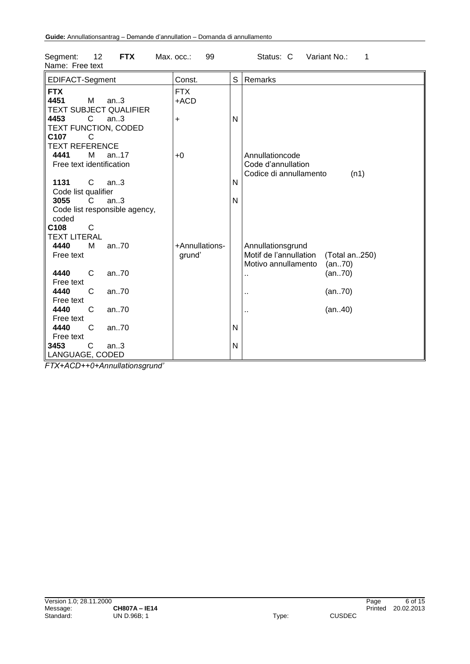| 00900000<br>Name: Free text                                                                                                           |                                   |   |                                                                                               |
|---------------------------------------------------------------------------------------------------------------------------------------|-----------------------------------|---|-----------------------------------------------------------------------------------------------|
| EDIFACT-Segment                                                                                                                       | Const.                            | S | Remarks                                                                                       |
| <b>FTX</b><br>4451<br>М<br>an.3<br><b>TEXT SUBJECT QUALIFIER</b><br>4453<br>$\mathsf{C}$<br>an.3<br>TEXT FUNCTION, CODED<br>C107<br>С | <b>FTX</b><br>$+ACD$<br>$\ddot{}$ | N |                                                                                               |
| <b>TEXT REFERENCE</b><br>4441<br>M<br>an.17<br>Free text identification<br>1131<br>C<br>an.3                                          | $+0$                              | N | Annullationcode<br>Code d'annullation<br>Codice di annullamento<br>(n1)                       |
| Code list qualifier<br>3055<br>$\mathsf{C}$<br>an.3<br>Code list responsible agency,<br>coded                                         |                                   | N |                                                                                               |
| C108<br>C<br><b>TEXT LITERAL</b><br>4440<br>an70<br>M<br>Free text                                                                    | +Annullations-<br>grund'          |   | Annullationsgrund<br>Motif de l'annullation<br>(Total an250)<br>Motivo annullamento<br>(an70) |
| 4440<br>C<br>an70<br>Free text                                                                                                        |                                   |   | (an70)<br>$\ddot{\phantom{a}}$                                                                |
| 4440<br>an70<br>C.<br>Free text                                                                                                       |                                   |   | (an70)<br>à.                                                                                  |
| 4440<br>C<br>an70<br>Free text                                                                                                        |                                   |   | (an40)<br>$\ddotsc$                                                                           |
| 4440<br>C<br>an70<br>Free text                                                                                                        |                                   | N |                                                                                               |
| 3453<br>C<br>an.3<br>LANGUAGE, CODED                                                                                                  |                                   | N |                                                                                               |

Seament: 12 **FTX** Max. occ.: 99 Status: C Variant No.: 1

*FTX+ACD++0+Annullationsgrund'*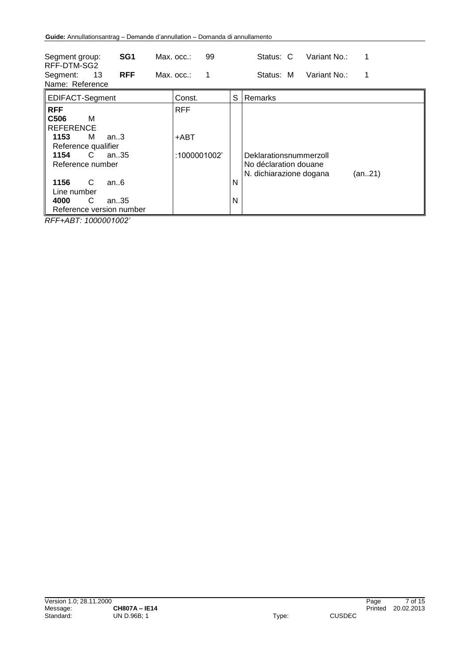| Segment group:<br>RFF-DTM-SG2                                                                                                                                             | SG <sub>1</sub> | 99<br>Max. occ.:                   |   | Variant No.:<br>Status: C<br>1                                                       |
|---------------------------------------------------------------------------------------------------------------------------------------------------------------------------|-----------------|------------------------------------|---|--------------------------------------------------------------------------------------|
| 13<br>Segment:<br>Name: Reference                                                                                                                                         | <b>RFF</b>      | Max. occ.:<br>1                    |   | Variant No.:<br>Status: M<br>1                                                       |
| <b>EDIFACT-Segment</b>                                                                                                                                                    |                 | Const.                             | S | Remarks                                                                              |
| <b>RFF</b><br>C506<br>м<br><b>REFERENCE</b><br>1153<br>м<br>an.3<br>Reference qualifier<br>C<br>1154<br>an. $.35$<br>Reference number<br>1156<br>C<br>an.6<br>Line number |                 | <b>RFF</b><br>+ABT<br>:1000001002' | N | Deklarationsnummerzoll<br>No déclaration douane<br>N. dichiarazione dogana<br>(an21) |
| 4000<br>C<br>an35<br>Reference version number                                                                                                                             |                 |                                    | N |                                                                                      |

*RFF+ABT: 1000001002'*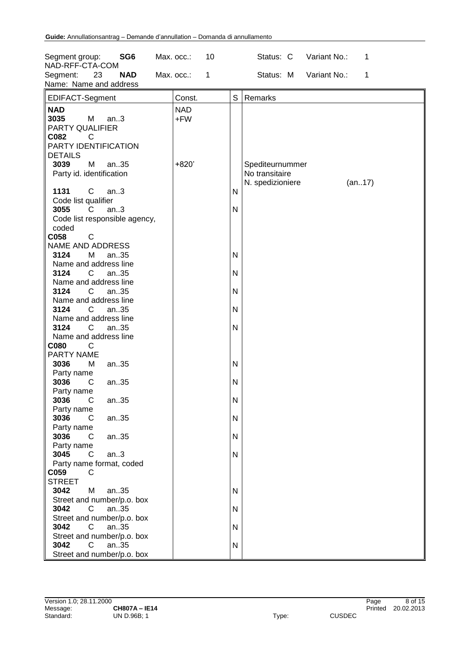| Segment group:<br>SG <sub>6</sub><br>NAD-RFF-CTA-COM   | Max. occ.:<br>10 |             | Variant No.:<br>Status: C<br>1 |
|--------------------------------------------------------|------------------|-------------|--------------------------------|
| 23<br><b>NAD</b><br>Segment:<br>Name: Name and address | Max. occ.:<br>1  |             | Status: M<br>Variant No.:<br>1 |
| EDIFACT-Segment                                        | Const.           | $\mathsf S$ | Remarks                        |
| <b>NAD</b>                                             | <b>NAD</b>       |             |                                |
| 3035<br>M<br>an.3                                      | $+FW$            |             |                                |
| PARTY QUALIFIER                                        |                  |             |                                |
| C082<br>C                                              |                  |             |                                |
| PARTY IDENTIFICATION                                   |                  |             |                                |
| <b>DETAILS</b>                                         |                  |             |                                |
| M<br>an35<br>3039                                      | $+820'$          |             | Spediteurnummer                |
| Party id. identification                               |                  |             | No transitaire                 |
|                                                        |                  |             | N. spedizioniere<br>(an17)     |
| $\mathsf C$<br>1131<br>an.3                            |                  | N           |                                |
| Code list qualifier                                    |                  |             |                                |
| 3055<br>C<br>an.3                                      |                  | N           |                                |
| Code list responsible agency,                          |                  |             |                                |
| coded                                                  |                  |             |                                |
| C058<br>$\mathsf C$                                    |                  |             |                                |
| NAME AND ADDRESS                                       |                  |             |                                |
| 3124<br>M<br>an35                                      |                  | N           |                                |
| Name and address line                                  |                  |             |                                |
| 3124<br>an35<br>C.                                     |                  | N           |                                |
| Name and address line                                  |                  |             |                                |
| 3124<br>C<br>an35                                      |                  | N           |                                |
| Name and address line                                  |                  |             |                                |
| 3124<br>C<br>an35                                      |                  | N           |                                |
| Name and address line                                  |                  |             |                                |
| 3124<br>$\mathsf{C}$<br>an35                           |                  | N           |                                |
| Name and address line                                  |                  |             |                                |
| C080<br>C                                              |                  |             |                                |
| PARTY NAME                                             |                  |             |                                |
| 3036<br>M<br>an35                                      |                  | N           |                                |
| Party name                                             |                  |             |                                |
| 3036<br>an35<br>C                                      |                  | N           |                                |
| Party name                                             |                  |             |                                |
| 3036<br>С<br>an35                                      |                  | N           |                                |
| Party name                                             |                  |             |                                |
| 3036<br>C<br>an35                                      |                  | N           |                                |
| Party name                                             |                  |             |                                |
| 3036<br>an35<br>C                                      |                  | N           |                                |
| Party name                                             |                  |             |                                |
| 3045<br>$\mathsf{C}$<br>an.3                           |                  | N           |                                |
| Party name format, coded                               |                  |             |                                |
| C059<br>C                                              |                  |             |                                |
| <b>STREET</b>                                          |                  |             |                                |
| an35<br>3042<br>M                                      |                  | N           |                                |
| Street and number/p.o. box                             |                  |             |                                |
| 3042<br>an35<br>C                                      |                  | N           |                                |
| Street and number/p.o. box                             |                  |             |                                |
| 3042<br>$\mathsf{C}$<br>an35                           |                  | N           |                                |
| Street and number/p.o. box                             |                  |             |                                |
| $\mathsf{C}$<br>3042<br>an35                           |                  | N           |                                |
| Street and number/p.o. box                             |                  |             |                                |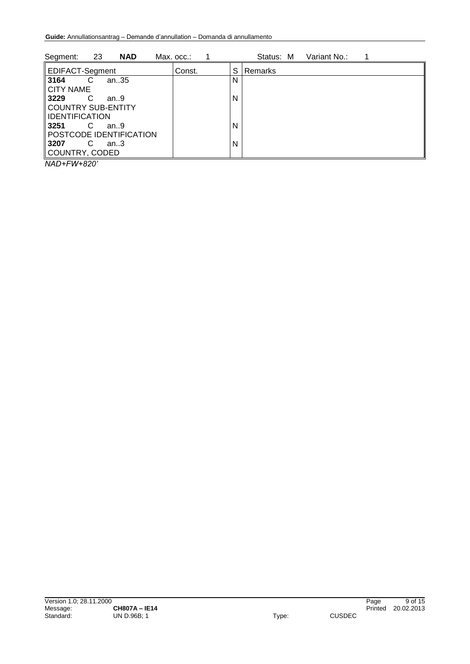| 23<br><b>NAD</b><br>Segment: | Max. occ.: |   | Status: M | Variant No.: |  |
|------------------------------|------------|---|-----------|--------------|--|
| EDIFACT-Segment              | Const.     | S | Remarks   |              |  |
| 3164<br>C<br>an35            |            | N |           |              |  |
| <b>CITY NAME</b>             |            |   |           |              |  |
| 3229<br>C<br>an.9            |            | N |           |              |  |
| <b>COUNTRY SUB-ENTITY</b>    |            |   |           |              |  |
| <b>IDENTIFICATION</b>        |            |   |           |              |  |
| 3251<br>C<br>an.9            |            | N |           |              |  |
| POSTCODE IDENTIFICATION      |            |   |           |              |  |
| 3207<br>C<br>an.3            |            | N |           |              |  |
| COUNTRY, CODED               |            |   |           |              |  |
| $\mathbf{A}$                 |            |   |           |              |  |

*NAD+FW+820'*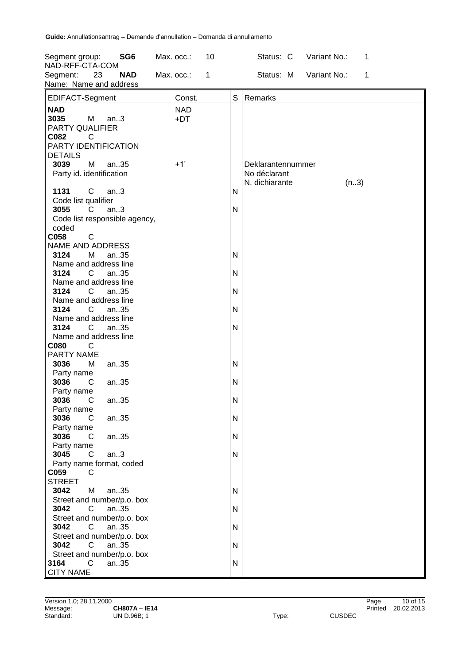| Segment group:<br>SG <sub>6</sub><br>NAD-RFF-CTA-COM                           | Max. occ.:<br>10          | Variant No.:<br>Status: C<br>1    |
|--------------------------------------------------------------------------------|---------------------------|-----------------------------------|
| 23<br><b>NAD</b><br>Segment:<br>Name: Name and address                         | Max. occ.:<br>$\mathbf 1$ | Status: M<br>Variant No.:<br>1    |
| EDIFACT-Segment                                                                | Const.                    | S<br>Remarks                      |
| <b>NAD</b>                                                                     | <b>NAD</b>                |                                   |
| 3035<br>M<br>an.3<br>PARTY QUALIFIER<br>C082<br>C                              | +DT                       |                                   |
| PARTY IDENTIFICATION<br><b>DETAILS</b>                                         |                           |                                   |
| an35<br>3039<br>M<br>Party id. identification                                  | $+1'$                     | Deklarantennummer<br>No déclarant |
| $\mathsf C$<br>1131<br>an.3<br>Code list qualifier                             |                           | N. dichiarante<br>(n3)<br>N       |
| 3055<br>C<br>an.3<br>Code list responsible agency,                             |                           | N                                 |
| coded<br>C058<br>$\mathsf{C}$<br>NAME AND ADDRESS                              |                           |                                   |
| 3124<br>М<br>an35<br>Name and address line<br>3124<br>an35                     |                           | N                                 |
| C.<br>Name and address line<br>3124<br>C<br>an35                               |                           | N<br>N                            |
| Name and address line<br>3124<br>$\mathsf{C}$<br>an35                          |                           | N                                 |
| Name and address line<br>3124<br>$\mathsf{C}$<br>an35<br>Name and address line |                           | N                                 |
| C080<br>C<br>PARTY NAME                                                        |                           |                                   |
| 3036<br>M<br>an35<br>Party name<br>3036<br>an35<br>С                           |                           | N<br>N                            |
| Party name<br>3036<br>С<br>an35                                                |                           | N                                 |
| Party name<br>3036<br>an35<br>C<br>Party name                                  |                           | N                                 |
| 3036<br>an35<br>C<br>Party name                                                |                           | N                                 |
| 3045<br>$\mathsf{C}$<br>an.3<br>Party name format, coded<br>C059<br>C          |                           | N                                 |
| <b>STREET</b><br>3042<br>M<br>an35                                             |                           | N                                 |
| Street and number/p.o. box<br>3042<br>an35<br>C<br>Street and number/p.o. box  |                           | N                                 |
| 3042<br>$\mathsf{C}$<br>an35<br>Street and number/p.o. box                     |                           | N                                 |
| 3042<br>$\mathsf{C}$<br>an35<br>Street and number/p.o. box                     |                           | N                                 |
| $\mathsf{C}$<br>3164<br>an35<br><b>CITY NAME</b>                               |                           | N                                 |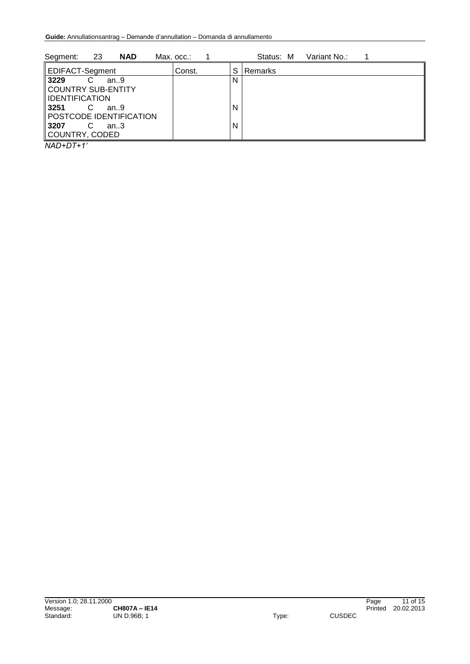|        |            | Status: M<br>Variant No.: |
|--------|------------|---------------------------|
| Const. | S          | l Remarks                 |
|        | N          |                           |
|        |            |                           |
|        |            |                           |
|        | N          |                           |
|        |            |                           |
|        | N          |                           |
|        |            |                           |
|        | Max. occ.: |                           |

*NAD+DT+1'*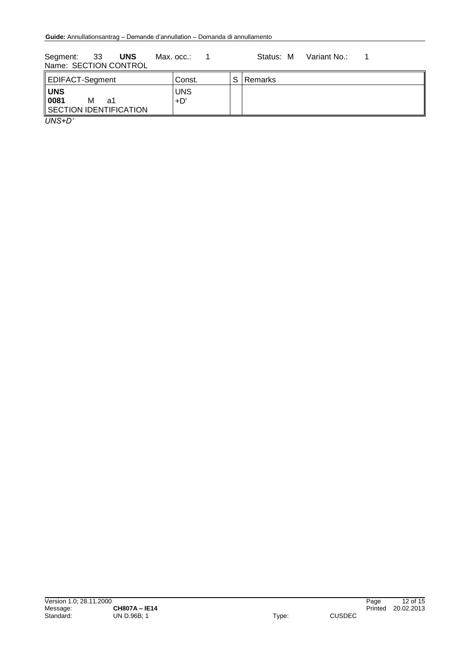Segment: 33 **UNS** Max. occ.: 1 Status: M Variant No.: 1 Name: SECTION CONTROL

| UNS<br><b>UNS</b><br>$\vert$ 0081<br>$+D'$<br>м<br>a1<br>SECTION IDENTIFICATION | EDIFACT-Segment | Const. | S Remarks |
|---------------------------------------------------------------------------------|-----------------|--------|-----------|
|                                                                                 |                 |        |           |

*UNS+D'*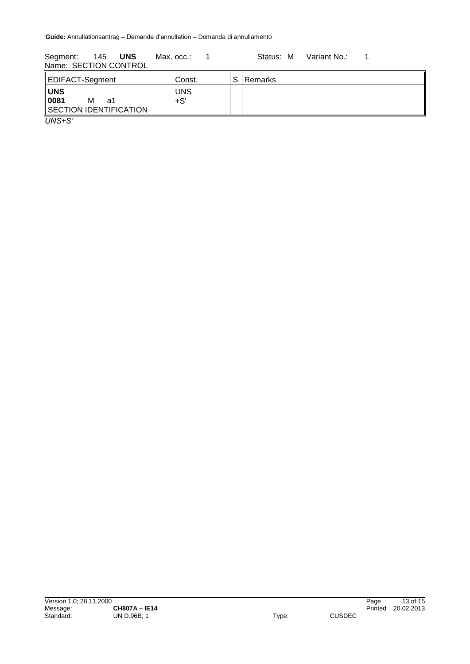Segment: 145 UNS Max. occ.: 1 Status: M Variant No.: 1 Name: SECTION CONTROL

| EDIFACT-Segment                                         | Const.              | c | l Remarks |
|---------------------------------------------------------|---------------------|---|-----------|
| <b>UNS</b><br>0081<br>М<br>a1<br>SECTION IDENTIFICATION | <b>UNS</b><br>$+S'$ |   |           |
| $\overline{\phantom{a}}$                                |                     |   |           |

*UNS+S'*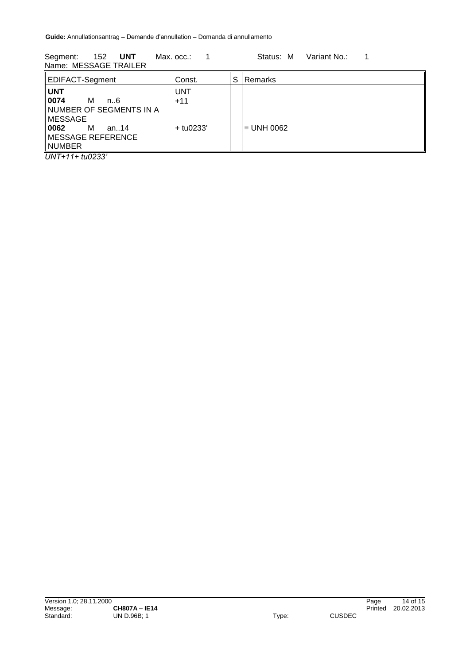Segment: 152 UNT Max. occ.: 1 Status: M Variant No.: 1 Name: MESSAGE TRAILER

| <b>EDIFACT-Segment</b>                                                                                                              | Const.                             | S | Remarks      |
|-------------------------------------------------------------------------------------------------------------------------------------|------------------------------------|---|--------------|
| <b>UNT</b><br>0074<br>м<br>n. 6<br>∥NUMBER OF SEGMENTS IN A<br>∥MESSAGE<br>М<br>   0062<br>an14<br>$\,$ MESSAGE REFERENCE<br>NUMBER | <b>UNT</b><br>$+11$<br>$+$ tu0233' |   | $=$ UNH 0062 |

*UNT+11+ tu0233'*